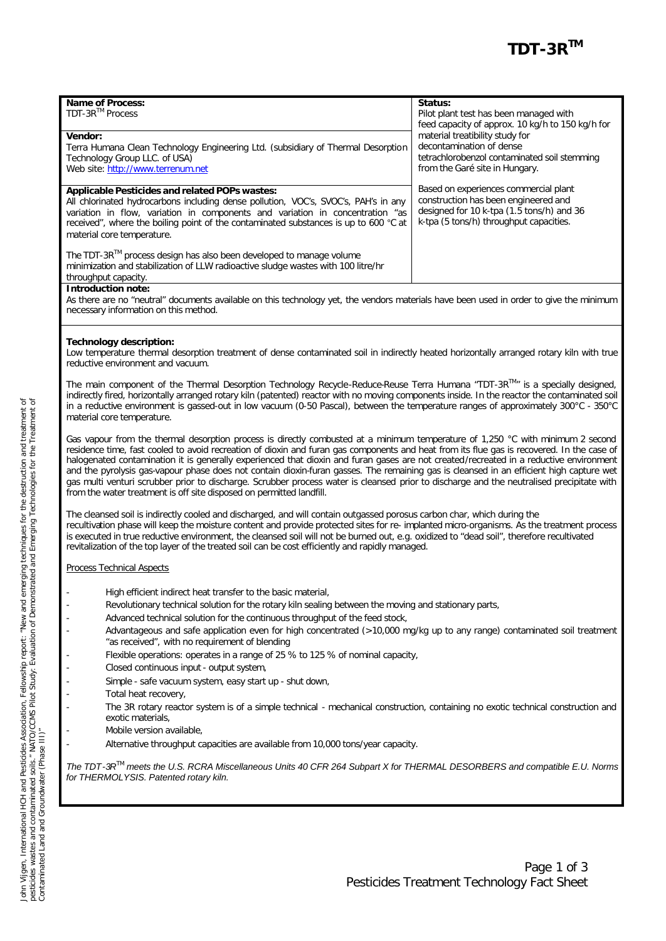| <b>Name of Process:</b><br>TDT-3R™ Process<br>Vendor:<br>Terra Humana Clean Technology Engineering Ltd. (subsidiary of Thermal Desorption<br>Technology Group LLC. of USA)<br>Web site: http://www.terrenum.net                                                                                                                              | Status:<br>Pilot plant test has been managed with<br>feed capacity of approx. 10 kg/h to 150 kg/h for<br>material treatibility study for<br>decontamination of dense<br>tetrachlorobenzol contaminated soil stemming<br>from the Garé site in Hungary. |
|----------------------------------------------------------------------------------------------------------------------------------------------------------------------------------------------------------------------------------------------------------------------------------------------------------------------------------------------|--------------------------------------------------------------------------------------------------------------------------------------------------------------------------------------------------------------------------------------------------------|
| Applicable Pesticides and related POPs wastes:<br>All chlorinated hydrocarbons including dense pollution, VOC's, SVOC's, PAH's in any<br>variation in flow, variation in components and variation in concentration "as<br>received", where the boiling point of the contaminated substances is up to 600 °C at<br>material core temperature. | Based on experiences commercial plant<br>construction has been engineered and<br>designed for 10 k-tpa (1.5 tons/h) and 36<br>k-tpa (5 tons/h) throughput capacities.                                                                                  |
| The TDT-3R $^{1M}$ process design has also been developed to manage volume<br>minimization and stabilization of LLW radioactive sludge wastes with 100 litre/hr<br>throughput capacity.                                                                                                                                                      |                                                                                                                                                                                                                                                        |
| <b>Introduction note:</b>                                                                                                                                                                                                                                                                                                                    |                                                                                                                                                                                                                                                        |

#### As there are no "neutral" documents available on this technology yet, the vendors materials have been used in order to give the minimum necessary information on this method.

### **Technology description:**

Low temperature thermal desorption treatment of dense contaminated soil in indirectly heated horizontally arranged rotary kiln with true reductive environment and vacuum.

The main component of the *Thermal Desorption Technology Recycle-Reduce-Reuse Terra Humana "TDT-3RTM"* is a specially designed, indirectly fired, horizontally arranged rotary kiln (patented) reactor with no moving components inside. In the reactor the contaminated soil in a reductive environment is gassed-out in low vacuum (0-50 Pascal), between the temperature ranges of approximately 300°C - 350°C material core temperature.

Gas vapour from the thermal desorption process is directly combusted at a minimum temperature of 1,250 °C with minimum 2 second residence time, fast cooled to avoid recreation of dioxin and furan gas components and heat from its flue gas is recovered. In the case of halogenated contamination it is generally experienced that dioxin and furan gases are not created/recreated in a reductive environment and the pyrolysis gas-vapour phase does not contain dioxin-furan gasses. The remaining gas is cleansed in an efficient high capture wet gas multi venturi scrubber prior to discharge. Scrubber process water is cleansed prior to discharge and the neutralised precipitate with from the water treatment is off site disposed on permitted landfill.

The cleansed soil is indirectly cooled and discharged, and will contain outgassed porosus carbon char, which during the recultivation phase will keep the moisture content and provide protected sites for re- implanted micro-organisms. As the treatment process is executed in true reductive environment, the cleansed soil will not be burned out, e.g. oxidized to "dead soil", therefore recultivated revitalization of the top layer of the treated soil can be cost efficiently and rapidly managed.

### Process Technical Aspects

- High efficient indirect heat transfer to the basic material,
	- Revolutionary technical solution for the rotary kiln sealing between the moving and stationary parts,
- Advanced technical solution for the continuous throughput of the feed stock,
- Advantageous and safe application even for high concentrated (>10,000 mg/kg up to any range) contaminated soil treatment "as received", with no requirement of blending
- Flexible operations: operates in a range of 25 % to 125 % of nominal capacity,
- Closed continuous input output system,
- Simple safe vacuum system, easy start up shut down,
- Total heat recovery,
- The 3R rotary reactor system is of a simple technical mechanical construction, containing no exotic technical construction and exotic materials,
- Mobile version available,
	- Alternative throughput capacities are available from 10,000 tons/year capacity.

*The TDT-3RTM meets the U.S. RCRA Miscellaneous Units 40 CFR 264 Subpart X for THERMAL DESORBERS and compatible E.U. Norms for THERMOLYSIS. Patented rotary kiln.*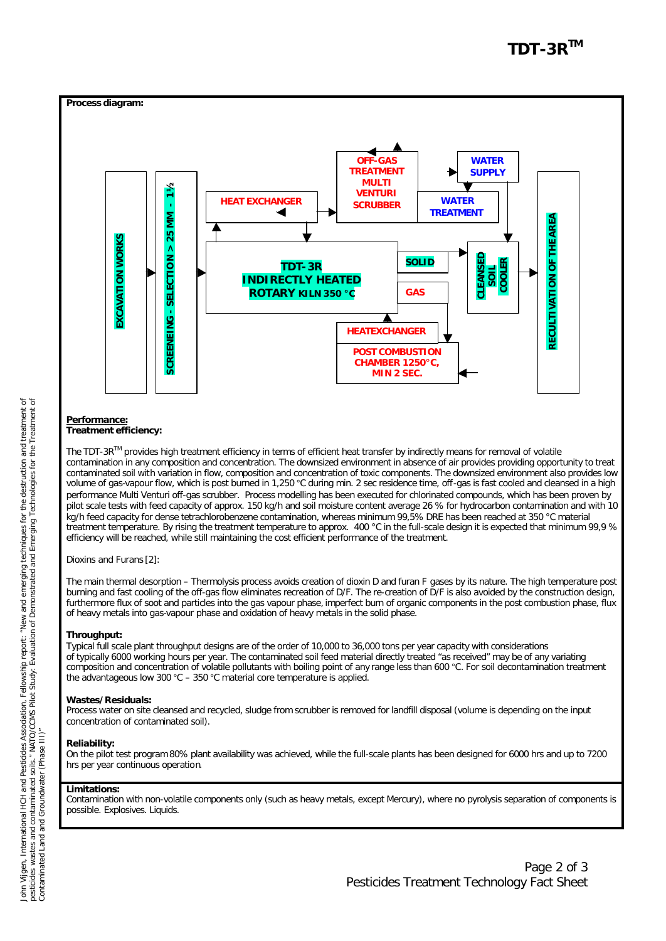

# **Performance:**

# **Treatment efficiency:**

The TDT-3R<sup>™</sup> provides high treatment efficiency in terms of efficient heat transfer by indirectly means for removal of volatile contamination in any composition and concentration. The downsized environment in absence of air provides providing opportunity to treat contaminated soil with variation in flow, composition and concentration of toxic components. The downsized environment also provides low volume of gas-vapour flow, which is post burned in 1,250 °C during min. 2 sec residence time, off-gas is fast cooled and cleansed in a high performance Multi Venturi off-gas scrubber. Process modelling has been executed for chlorinated compounds, which has been proven by pilot scale tests with feed capacity of approx. 150 kg/h and soil moisture content average 26 % for hydrocarbon contamination and with 10 kg/h feed capacity for dense tetrachlorobenzene contamination, whereas minimum 99,5% DRE has been reached at 350 °C material treatment temperature. By rising the treatment temperature to approx. 400 °C in the full-scale design it is expected that minimum 99,9 % efficiency will be reached, while still maintaining the cost efficient performance of the treatment.

Dioxins and Furans [2]:

The main thermal desorption – Thermolysis process avoids creation of dioxin D and furan F gases by its nature. The high temperature post burning and fast cooling of the off-gas flow eliminates recreation of D/F. The re-creation of D/F is also avoided by the construction design, furthermore flux of soot and particles into the gas vapour phase, imperfect burn of organic components in the post combustion phase, flux of heavy metals into gas-vapour phase and oxidation of heavy metals in the solid phase.

# **Throughput:**

Typical full scale plant throughput designs are of the order of 10,000 to 36,000 tons per year capacity with considerations of typically 6000 working hours per year. The contaminated soil feed material directly treated "as received" may be of any variating composition and concentration of volatile pollutants with boiling point of any range less than 600 °C. For soil decontamination treatment the advantageous low 300 °C – 350 °C material core temperature is applied.

# **Wastes/Residuals:**

Process water on site cleansed and recycled, sludge from scrubber is removed for landfill disposal (volume is depending on the input concentration of contaminated soil).

# **Reliability:**

On the pilot test program 80% plant availability was achieved, while the full-scale plants has been designed for 6000 hrs and up to 7200 hrs per year continuous operation.

# **Limitations:**

Contamination with non-volatile components only (such as heavy metals, except Mercury), where no pyrolysis separation of components is possible. Explosives. Liquids.